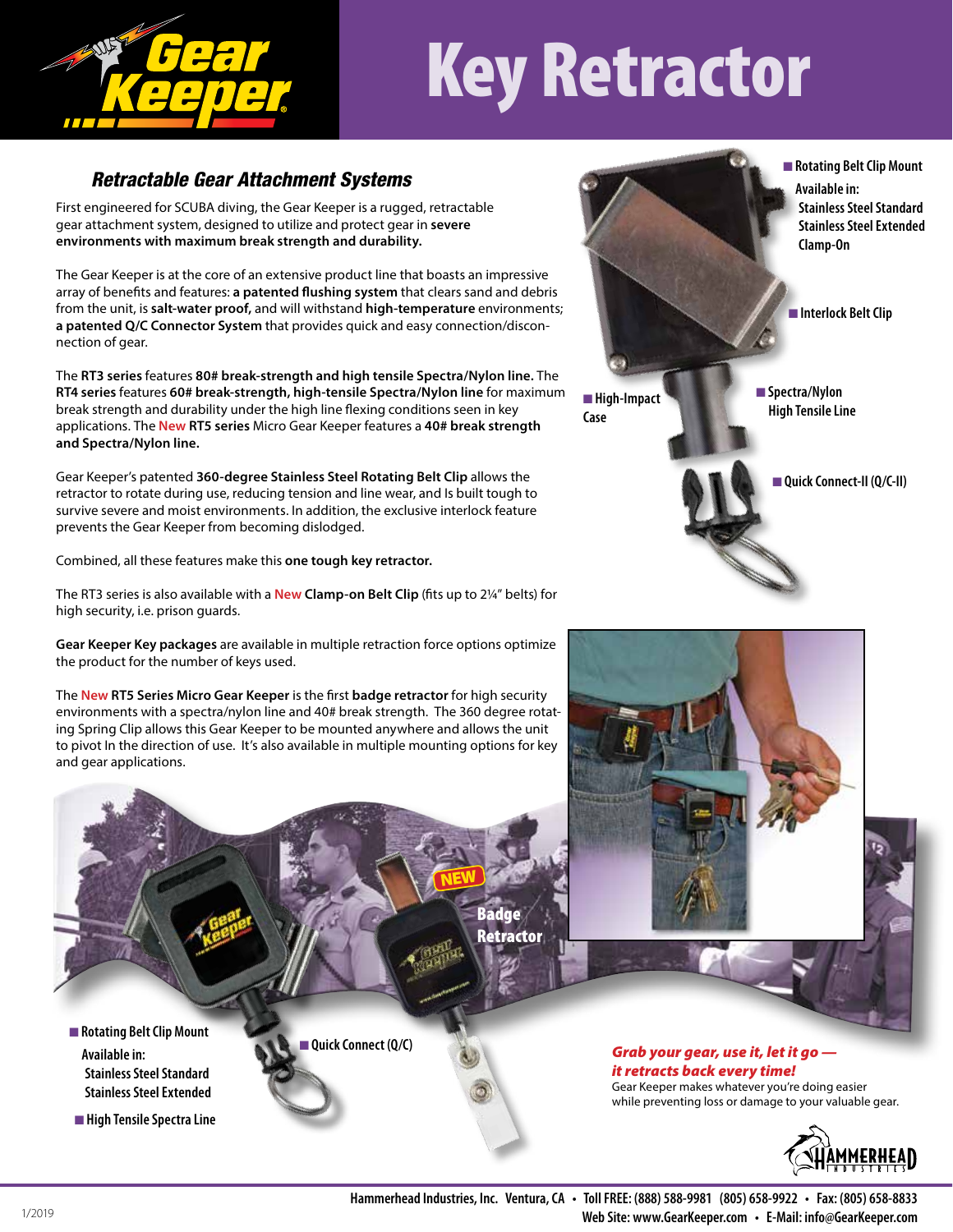

## Key Retractor

## *Retractable Gear Attachment Systems*

First engineered for SCUBA diving, the Gear Keeper is a rugged, retractable gear attachment system, designed to utilize and protect gear in **severe environments with maximum break strength and durability.**

The Gear Keeper is at the core of an extensive product line that boasts an impressive array of benefits and features: **a patented flushing system** that clears sand and debris from the unit, is **salt-water proof,** and will withstand **high-temperature** environments; **a patented Q/C Connector System** that provides quick and easy connection/disconnection of gear.

The **RT3 series** features **80# break-strength and high tensile Spectra/Nylon line.** The **RT4 series** features **60# break-strength, high-tensile Spectra/Nylon line** for maximum break strength and durability under the high line flexing conditions seen in key applications. The **New RT5 series** Micro Gear Keeper features a **40# break strength and Spectra/Nylon line.**

Gear Keeper's patented **360-degree Stainless Steel Rotating Belt Clip** allows the retractor to rotate during use, reducing tension and line wear, and Is built tough to survive severe and moist environments. In addition, the exclusive interlock feature prevents the Gear Keeper from becoming dislodged.

Combined, all these features make this **one tough key retractor.**

The RT3 series is also available with a **New Clamp-on Belt Clip** (fits up to 2¼" belts) for high security, i.e. prison guards.

**Gear Keeper Key packages** are available in multiple retraction force options optimize the product for the number of keys used.

The **New RT5 Series Micro Gear Keeper** is the first **badge retractor** for high security environments with a spectra/nylon line and 40# break strength. The 360 degree rotating Spring Clip allows this Gear Keeper to be mounted anywhere and allows the unit to pivot In the direction of use. It's also available in multiple mounting options for key and gear applications.

**Quick Connect (Q/C)** 





Gear Keeper makes whatever you're doing easier while preventing loss or damage to your valuable gear.



**Hammerhead Industries, Inc. Ventura, CA • Toll FREE: (888) 588-9981 (805) 658-9922 • Fax: (805) 658-8833 Web Site: www.GearKeeper.com • E-Mail: info@GearKeeper.com**

**n** High Tensile Spectra Line

**Stainless Steel Standard Stainless Steel Extended**

■ Rotating Belt Clip Mount

 **Available in:**